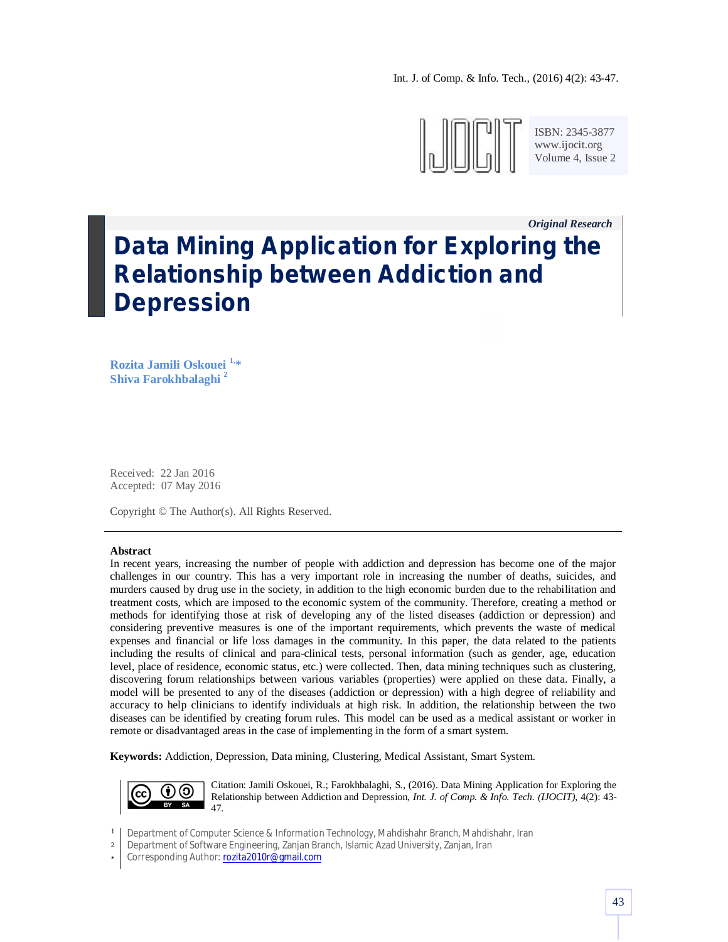Int. J. of Comp. & Info. Tech., (2016) 4(2): 43-47.



ISBN: 2345-3877 www.ijocit.org Volume 4, Issue 2

*Original Research\_\_* **Data Mining Application for Exploring the Relationship between Addiction and Depression**

**Rozita Jamili Oskouei 1, \* Shiva Farokhbalaghi <sup>2</sup>**

Received: 22 Jan 2016 Accepted: 07 May 2016

Copyright © The Author(s). All Rights Reserved.

#### **Abstract**

In recent years, increasing the number of people with addiction and depression has become one of the major challenges in our country. This has a very important role in increasing the number of deaths, suicides, and murders caused by drug use in the society, in addition to the high economic burden due to the rehabilitation and treatment costs, which are imposed to the economic system of the community. Therefore, creating a method or methods for identifying those at risk of developing any of the listed diseases (addiction or depression) and considering preventive measures is one of the important requirements, which prevents the waste of medical expenses and financial or life loss damages in the community. In this paper, the data related to the patients including the results of clinical and para-clinical tests, personal information (such as gender, age, education level, place of residence, economic status, etc.) were collected. Then, data mining techniques such as clustering, discovering forum relationships between various variables (properties) were applied on these data. Finally, a model will be presented to any of the diseases (addiction or depression) with a high degree of reliability and accuracy to help clinicians to identify individuals at high risk. In addition, the relationship between the two diseases can be identified by creating forum rules. This model can be used as a medical assistant or worker in remote or disadvantaged areas in the case of implementing in the form of a smart system.

**Keywords:** Addiction, Depression, Data mining, Clustering, Medical Assistant, Smart System.



Citation: Jamili Oskouei, R.; Farokhbalaghi, S., (2016). Data Mining Application for Exploring the Relationship between Addiction and Depression, *Int. J. of Comp. & Info. Tech. (IJOCIT)*, 4(2): 43- 47.

2 Department of Software Engineering, Zanjan Branch, Islamic Azad University, Zanjan, Iran

<sup>1</sup> Department of Computer Science & Information Technology, Mahdishahr Branch, Mahdishahr, Iran

<sup>\*</sup> Corresponding Author: rozita2010r@gmail.com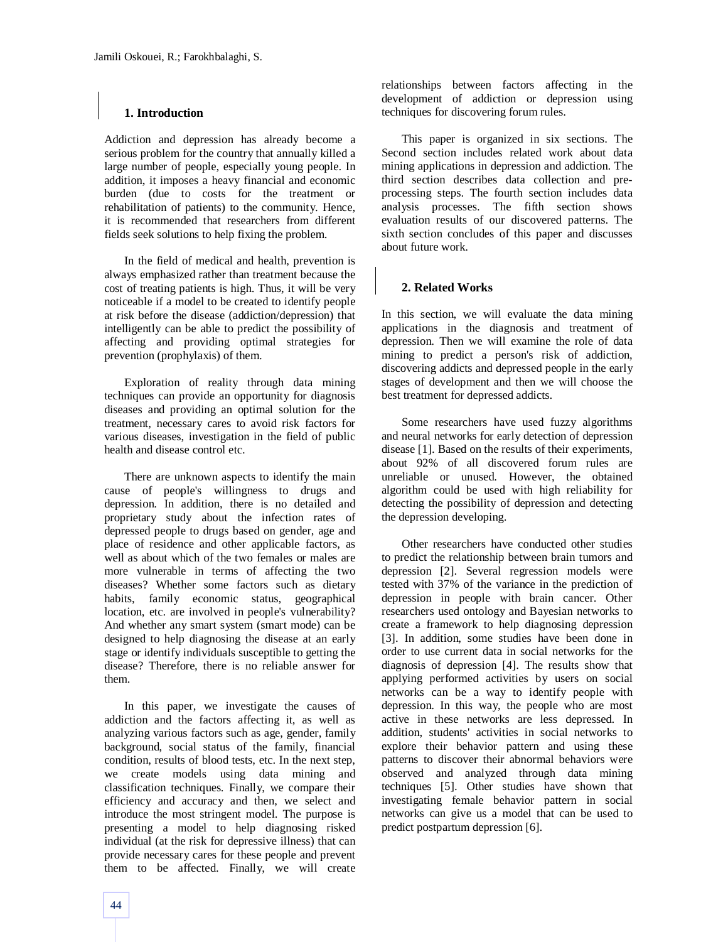# **1. Introduction**

Addiction and depression has already become a serious problem for the country that annually killed a large number of people, especially young people. In addition, it imposes a heavy financial and economic burden (due to costs for the treatment or rehabilitation of patients) to the community. Hence, it is recommended that researchers from different fields seek solutions to help fixing the problem.

In the field of medical and health, prevention is always emphasized rather than treatment because the cost of treating patients is high. Thus, it will be very noticeable if a model to be created to identify people at risk before the disease (addiction/depression) that intelligently can be able to predict the possibility of affecting and providing optimal strategies for prevention (prophylaxis) of them.

Exploration of reality through data mining techniques can provide an opportunity for diagnosis diseases and providing an optimal solution for the treatment, necessary cares to avoid risk factors for various diseases, investigation in the field of public health and disease control etc.

There are unknown aspects to identify the main cause of people's willingness to drugs and depression. In addition, there is no detailed and proprietary study about the infection rates of depressed people to drugs based on gender, age and place of residence and other applicable factors, as well as about which of the two females or males are more vulnerable in terms of affecting the two diseases? Whether some factors such as dietary habits, family economic status, geographical location, etc. are involved in people's vulnerability? And whether any smart system (smart mode) can be designed to help diagnosing the disease at an early stage or identify individuals susceptible to getting the disease? Therefore, there is no reliable answer for them.

In this paper, we investigate the causes of addiction and the factors affecting it, as well as analyzing various factors such as age, gender, family background, social status of the family, financial condition, results of blood tests, etc. In the next step, we create models using data mining and classification techniques. Finally, we compare their efficiency and accuracy and then, we select and introduce the most stringent model. The purpose is presenting a model to help diagnosing risked individual (at the risk for depressive illness) that can provide necessary cares for these people and prevent them to be affected. Finally, we will create

relationships between factors affecting in the development of addiction or depression using techniques for discovering forum rules.

This paper is organized in six sections. The Second section includes related work about data mining applications in depression and addiction. The third section describes data collection and preprocessing steps. The fourth section includes data analysis processes. The fifth section shows evaluation results of our discovered patterns. The sixth section concludes of this paper and discusses about future work.

# **2. Related Works**

In this section, we will evaluate the data mining applications in the diagnosis and treatment of depression. Then we will examine the role of data mining to predict a person's risk of addiction, discovering addicts and depressed people in the early stages of development and then we will choose the best treatment for depressed addicts.

Some researchers have used fuzzy algorithms and neural networks for early detection of depression disease [1]. Based on the results of their experiments, about 92% of all discovered forum rules are unreliable or unused. However, the obtained algorithm could be used with high reliability for detecting the possibility of depression and detecting the depression developing.

Other researchers have conducted other studies to predict the relationship between brain tumors and depression [2]. Several regression models were tested with 37% of the variance in the prediction of depression in people with brain cancer. Other researchers used ontology and Bayesian networks to create a framework to help diagnosing depression [3]. In addition, some studies have been done in order to use current data in social networks for the diagnosis of depression [4]. The results show that applying performed activities by users on social networks can be a way to identify people with depression. In this way, the people who are most active in these networks are less depressed. In addition, students' activities in social networks to explore their behavior pattern and using these patterns to discover their abnormal behaviors were observed and analyzed through data mining techniques [5]. Other studies have shown that investigating female behavior pattern in social networks can give us a model that can be used to predict postpartum depression [6].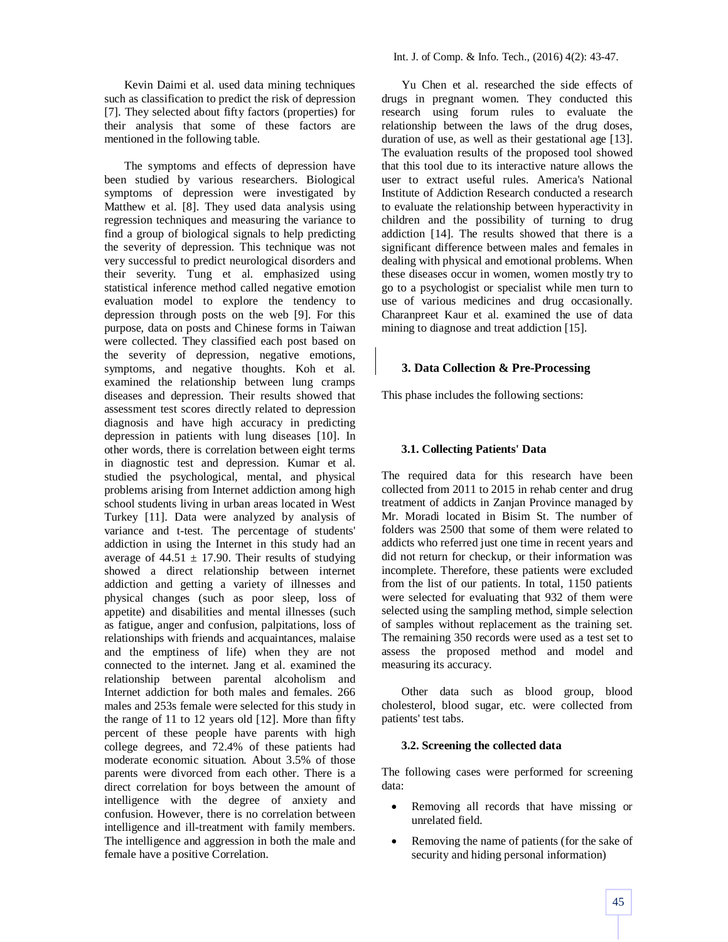Kevin Daimi et al. used data mining techniques such as classification to predict the risk of depression [7]. They selected about fifty factors (properties) for their analysis that some of these factors are mentioned in the following table.

The symptoms and effects of depression have been studied by various researchers. Biological symptoms of depression were investigated by Matthew et al. [8]. They used data analysis using regression techniques and measuring the variance to find a group of biological signals to help predicting the severity of depression. This technique was not very successful to predict neurological disorders and their severity. Tung et al. emphasized using statistical inference method called negative emotion evaluation model to explore the tendency to depression through posts on the web [9]. For this purpose, data on posts and Chinese forms in Taiwan were collected. They classified each post based on the severity of depression, negative emotions, symptoms, and negative thoughts. Koh et al. examined the relationship between lung cramps diseases and depression. Their results showed that assessment test scores directly related to depression diagnosis and have high accuracy in predicting depression in patients with lung diseases [10]. In other words, there is correlation between eight terms in diagnostic test and depression. Kumar et al. studied the psychological, mental, and physical problems arising from Internet addiction among high school students living in urban areas located in West Turkey [11]. Data were analyzed by analysis of variance and t-test. The percentage of students' addiction in using the Internet in this study had an average of  $44.51 \pm 17.90$ . Their results of studying showed a direct relationship between internet addiction and getting a variety of illnesses and physical changes (such as poor sleep, loss of appetite) and disabilities and mental illnesses (such as fatigue, anger and confusion, palpitations, loss of relationships with friends and acquaintances, malaise and the emptiness of life) when they are not connected to the internet. Jang et al. examined the relationship between parental alcoholism and Internet addiction for both males and females. 266 males and 253s female were selected for this study in the range of 11 to 12 years old [12]. More than fifty percent of these people have parents with high college degrees, and 72.4% of these patients had moderate economic situation. About 3.5% of those parents were divorced from each other. There is a direct correlation for boys between the amount of intelligence with the degree of anxiety and confusion. However, there is no correlation between intelligence and ill-treatment with family members. The intelligence and aggression in both the male and female have a positive Correlation.

Yu Chen et al. researched the side effects of drugs in pregnant women. They conducted this research using forum rules to evaluate the relationship between the laws of the drug doses, duration of use, as well as their gestational age [13]. The evaluation results of the proposed tool showed that this tool due to its interactive nature allows the user to extract useful rules. America's National Institute of Addiction Research conducted a research to evaluate the relationship between hyperactivity in children and the possibility of turning to drug addiction [14]. The results showed that there is a significant difference between males and females in dealing with physical and emotional problems. When these diseases occur in women, women mostly try to go to a psychologist or specialist while men turn to use of various medicines and drug occasionally. Charanpreet Kaur et al. examined the use of data mining to diagnose and treat addiction [15].

## **3. Data Collection & Pre-Processing**

This phase includes the following sections:

### **3.1. Collecting Patients' Data**

The required data for this research have been collected from 2011 to 2015 in rehab center and drug treatment of addicts in Zanjan Province managed by Mr. Moradi located in Bisim St. The number of folders was 2500 that some of them were related to addicts who referred just one time in recent years and did not return for checkup, or their information was incomplete. Therefore, these patients were excluded from the list of our patients. In total, 1150 patients were selected for evaluating that 932 of them were selected using the sampling method, simple selection of samples without replacement as the training set. The remaining 350 records were used as a test set to assess the proposed method and model and measuring its accuracy.

Other data such as blood group, blood cholesterol, blood sugar, etc. were collected from patients' test tabs.

### **3.2. Screening the collected data**

The following cases were performed for screening data:

- Removing all records that have missing or unrelated field.
- Removing the name of patients (for the sake of security and hiding personal information)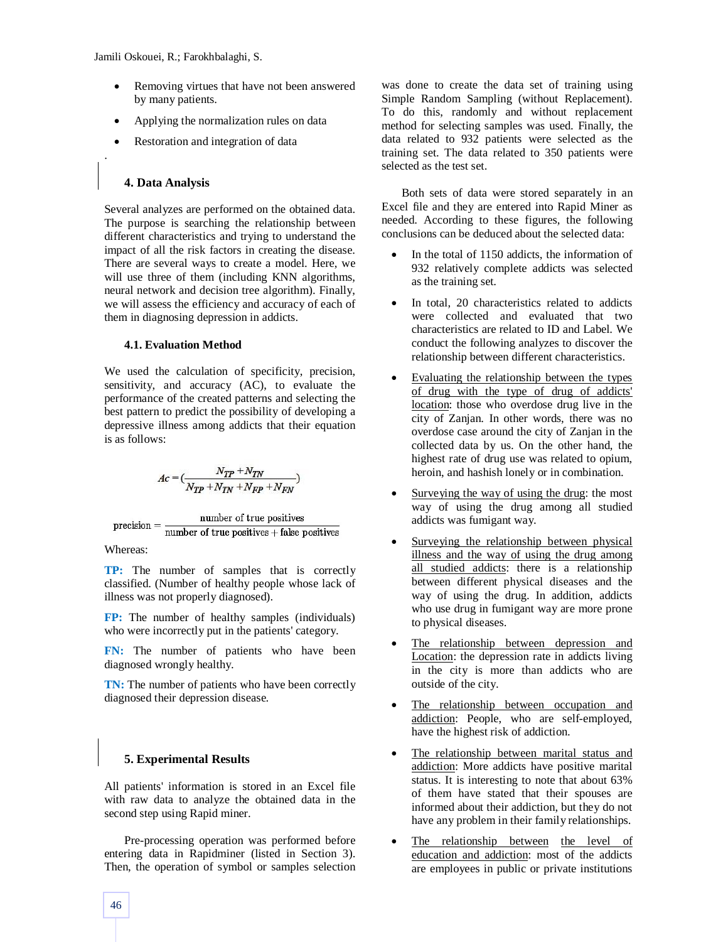- Removing virtues that have not been answered by many patients.
- Applying the normalization rules on data
- Restoration and integration of data

# **4. Data Analysis**

.

Several analyzes are performed on the obtained data. The purpose is searching the relationship between different characteristics and trying to understand the impact of all the risk factors in creating the disease. There are several ways to create a model. Here, we will use three of them (including KNN algorithms, neural network and decision tree algorithm). Finally, we will assess the efficiency and accuracy of each of them in diagnosing depression in addicts.

## **4.1. Evaluation Method**

We used the calculation of specificity, precision, sensitivity, and accuracy (AC), to evaluate the performance of the created patterns and selecting the best pattern to predict the possibility of developing a depressive illness among addicts that their equation is as follows:

$$
Ac = (\frac{N_{TP}+N_{TN}}{N_{TP}+N_{TN}+N_{FP}+N_{FN}})
$$

$$
precision = \frac{number\ of\ true\ positives}{number\ of\ true\ positives + false\ positives}
$$

Whereas:

**TP:** The number of samples that is correctly classified. (Number of healthy people whose lack of illness was not properly diagnosed).

**FP:** The number of healthy samples (individuals) who were incorrectly put in the patients' category.

**FN:** The number of patients who have been diagnosed wrongly healthy.

**TN:** The number of patients who have been correctly diagnosed their depression disease.

# **5. Experimental Results**

All patients' information is stored in an Excel file with raw data to analyze the obtained data in the second step using Rapid miner.

Pre-processing operation was performed before entering data in Rapidminer (listed in Section 3). Then, the operation of symbol or samples selection was done to create the data set of training using Simple Random Sampling (without Replacement). To do this, randomly and without replacement method for selecting samples was used. Finally, the data related to 932 patients were selected as the training set. The data related to 350 patients were selected as the test set.

Both sets of data were stored separately in an Excel file and they are entered into Rapid Miner as needed. According to these figures, the following conclusions can be deduced about the selected data:

- In the total of 1150 addicts, the information of 932 relatively complete addicts was selected as the training set.
- In total, 20 characteristics related to addicts were collected and evaluated that two characteristics are related to ID and Label. We conduct the following analyzes to discover the relationship between different characteristics.
- Evaluating the relationship between the types of drug with the type of drug of addicts' location: those who overdose drug live in the city of Zanjan. In other words, there was no overdose case around the city of Zanjan in the collected data by us. On the other hand, the highest rate of drug use was related to opium, heroin, and hashish lonely or in combination.
- Surveying the way of using the drug: the most way of using the drug among all studied addicts was fumigant way.
- Surveying the relationship between physical illness and the way of using the drug among all studied addicts: there is a relationship between different physical diseases and the way of using the drug. In addition, addicts who use drug in fumigant way are more prone to physical diseases.
- The relationship between depression and Location: the depression rate in addicts living in the city is more than addicts who are outside of the city.
- The relationship between occupation and addiction: People, who are self-employed, have the highest risk of addiction.
- The relationship between marital status and addiction: More addicts have positive marital status. It is interesting to note that about 63% of them have stated that their spouses are informed about their addiction, but they do not have any problem in their family relationships.
- The relationship between the level of education and addiction: most of the addicts are employees in public or private institutions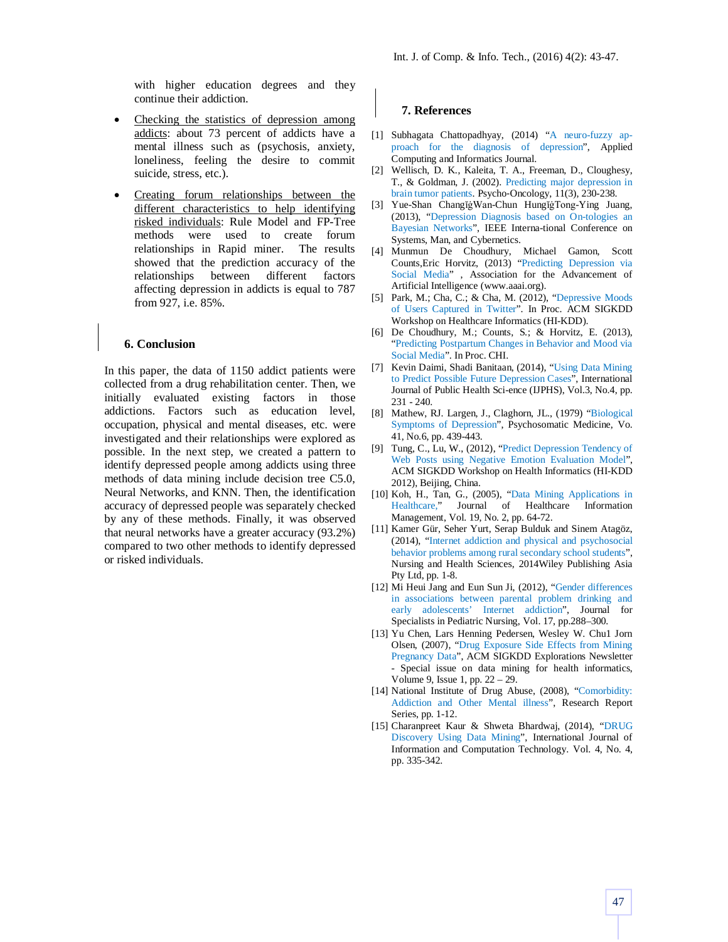with higher education degrees and they continue their addiction.

- Checking the statistics of depression among addicts: about 73 percent of addicts have a mental illness such as (psychosis, anxiety, loneliness, feeling the desire to commit suicide, stress, etc.).
- Creating forum relationships between the different characteristics to help identifying risked individuals: Rule Model and FP-Tree methods were used to create forum relationships in Rapid miner. The results showed that the prediction accuracy of the relationships between different factors affecting depression in addicts is equal to 787 from 927, i.e. 85%.

#### **6. Conclusion**

In this paper, the data of 1150 addict patients were collected from a drug rehabilitation center. Then, we initially evaluated existing factors in those addictions. Factors such as education level, occupation, physical and mental diseases, etc. were investigated and their relationships were explored as possible. In the next step, we created a pattern to identify depressed people among addicts using three methods of data mining include decision tree C5.0, Neural Networks, and KNN. Then, the identification accuracy of depressed people was separately checked by any of these methods. Finally, it was observed that neural networks have a greater accuracy (93.2%) compared to two other methods to identify depressed or risked individuals.

#### **7. References**

- [1] Subhagata Chattopadhyay, (2014) "A neuro-fuzzy approach for the diagnosis of depression", Applied Computing and Informatics Journal.
- [2] Wellisch, D. K., Kaleita, T. A., Freeman, D., Cloughesy, T., & Goldman, J. (2002). Predicting major depression in brain tumor patients. Psycho‐Oncology, 11(3), 230-238.
- [3] Yue-Shan ChangĭġWan-Chun HungĭġTong-Ying Juang, (2013), "Depression Diagnosis based on On-tologies an Bayesian Networks", IEEE Interna-tional Conference on Systems, Man, and Cybernetics.
- [4] Munmun De Choudhury, Michael Gamon, Scott Counts,Eric Horvitz, (2013) "Predicting Depression via Social Media" , Association for the Advancement of Artificial Intelligence (www.aaai.org).
- [5] Park, M.; Cha, C.; & Cha, M. (2012), "Depressive Moods of Users Captured in Twitter". In Proc. ACM SIGKDD Workshop on Healthcare Informatics (HI-KDD).
- [6] De Choudhury, M.; Counts, S.; & Horvitz, E. (2013), "Predicting Postpartum Changes in Behavior and Mood via Social Media". In Proc. CHI.
- [7] Kevin Daimi, Shadi Banitaan, (2014), "Using Data Mining to Predict Possible Future Depression Cases", International Journal of Public Health Sci-ence (IJPHS), Vol.3, No.4, pp. 231 - 240.
- [8] Mathew, RJ. Largen, J., Claghorn, JL., (1979) "Biological Symptoms of Depression", Psychosomatic Medicine, Vo. 41, No.6, pp. 439-443.
- [9] Tung, C., Lu, W., (2012), "Predict Depression Tendency of Web Posts using Negative Emotion Evaluation Model", ACM SIGKDD Workshop on Health Informatics (HI-KDD 2012), Beijing, China.
- [10] Koh, H., Tan, G., (2005), "Data Mining Applications in Healthcare," Journal of Healthcare Information Management, Vol. 19, No. 2, pp. 64-72.
- [11] Kamer Gür, Seher Yurt, Serap Bulduk and Sinem Atagöz, (2014), "Internet addiction and physical and psychosocial behavior problems among rural secondary school students", Nursing and Health Sciences, 2014Wiley Publishing Asia Pty Ltd, pp. 1-8.
- [12] Mi Heui Jang and Eun Sun Ji, (2012), "Gender differences in associations between parental problem drinking and early adolescents' Internet addiction", Journal for Specialists in Pediatric Nursing, Vol. 17, pp.288–300.
- [13] Yu Chen, Lars Henning Pedersen, Wesley W. Chu1 Jorn Olsen, (2007), "Drug Exposure Side Effects from Mining Pregnancy Data", ACM SIGKDD Explorations Newsletter - Special issue on data mining for health informatics, Volume 9, Issue 1, pp. 22 – 29.
- [14] National Institute of Drug Abuse, (2008), "Comorbidity: Addiction and Other Mental illness", Research Report Series, pp. 1-12.
- [15] Charanpreet Kaur & Shweta Bhardwaj, (2014), "DRUG Discovery Using Data Mining", International Journal of Information and Computation Technology. Vol. 4, No. 4, pp. 335-342.